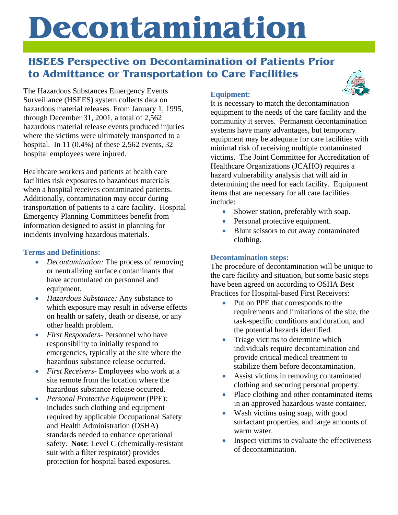# **Decontamination**

## **HSEES Perspective on Decontamination of Patients Prior to Admittance or Transportation to Care Facilities**

The Hazardous Substances Emergency Events Surveillance (HSEES) system collects data on hazardous material releases. From January 1, 1995, through December 31, 2001, a total of 2,562 hazardous material release events produced injuries where the victims were ultimately transported to a hospital. In 11 (0.4%) of these 2,562 events, 32 hospital employees were injured.

Healthcare workers and patients at health care facilities risk exposures to hazardous materials when a hospital receives contaminated patients. Additionally, contamination may occur during transportation of patients to a care facility. Hospital Emergency Planning Committees benefit from information designed to assist in planning for incidents involving hazardous materials.

#### **Terms and Definitions:**

- *Decontamination:* The process of removing or neutralizing surface contaminants that have accumulated on personnel and equipment.
- *Hazardous Substance:* Any substance to which exposure may result in adverse effects on health or safety, death or disease, or any other health problem.
- *First Responders* Personnel who have responsibility to initially respond to emergencies, typically at the site where the hazardous substance release occurred.
- *First Receivers* Employees who work at a site remote from the location where the hazardous substance release occurred.
- *Personal Protective Equipment* (PPE): includes such clothing and equipment required by applicable Occupational Safety and Health Administration (OSHA) standards needed to enhance operational safety. **Note**: Level C (chemically-resistant suit with a filter respirator) provides protection for hospital based exposures.

#### **Equipment:**



- Shower station, preferably with soap.
- Personal protective equipment.
- Blunt scissors to cut away contaminated clothing.

**Decontamination steps:** The procedure of decontamination will be unique to the care facility and situation, but some basic steps have been agreed on according to OSHA Best Practices for Hospital-based First Receivers:

- Put on PPE that corresponds to the requirements and limitations of the site, the task-specific conditions and duration, and the potential hazards identified.
- Triage victims to determine which individuals require decontamination and provide critical medical treatment to stabilize them before decontamination.
- Assist victims in removing contaminated clothing and securing personal property.
- Place clothing and other contaminated items in an approved hazardous waste container.
- Wash victims using soap, with good surfactant properties, and large amounts of warm water.
- Inspect victims to evaluate the effectiveness of decontamination.